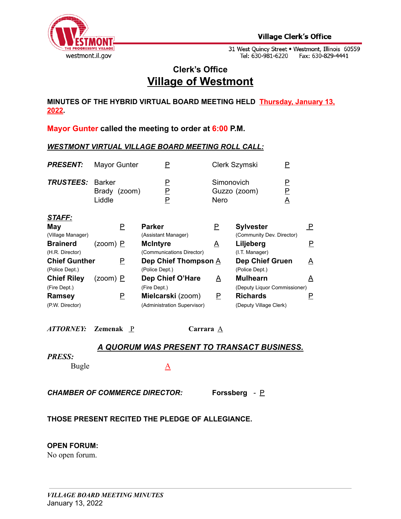

31 West Quincy Street • Westmont, Illinois 60559<br>Tel: 630-981-6220 Fax: 630-829-4441

# **Clerk's Office Village of Westmont**

**MINUTES OF THE HYBRID VIRTUAL BOARD MEETING HELD Thursday, January 13, 2022.**

**Mayor Gunter called the meeting to order at 6:00 P.M.**

## *WESTMONT VIRTUAL VILLAGE BOARD MEETING ROLL CALL:*

| <b>PRESENT:</b>                        | Mayor Gunter                            |          | Ρ                                            |                    | Clerk Szymski                                   | P                                 |                 |
|----------------------------------------|-----------------------------------------|----------|----------------------------------------------|--------------------|-------------------------------------------------|-----------------------------------|-----------------|
| <b>TRUSTEES:</b>                       | <b>Barker</b><br>Brady (zoom)<br>Liddle |          | <u>P</u><br>$\overline{P}$<br>P              | Simonovich<br>Nero | Guzzo (zoom)                                    | P<br>Р<br>$\overline{\mathsf{A}}$ |                 |
| <b>STAFF:</b><br>May                   |                                         | Ρ        | <b>Parker</b>                                | P                  | <b>Sylvester</b>                                |                                   | $\mathsf{P}$    |
| (Village Manager)                      |                                         |          | (Assistant Manager)                          |                    | (Community Dev. Director)                       |                                   |                 |
| <b>Brainerd</b><br>(H.R. Director)     | (zoom) <u>P</u>                         |          | <b>McIntyre</b><br>(Communications Director) | A                  | Liljeberg<br>(I.T. Manager)                     |                                   | Е.              |
| <b>Chief Gunther</b><br>(Police Dept.) |                                         | P        | Dep Chief Thompson A<br>(Police Dept.)       |                    | <b>Dep Chief Gruen</b><br>(Police Dept.)        |                                   | <u>A</u>        |
| <b>Chief Riley</b>                     | (zoom) <u>P</u>                         |          | Dep Chief O'Hare                             | A                  | <b>Mulhearn</b>                                 |                                   | $\underline{A}$ |
| (Fire Dept.)<br><b>Ramsey</b>          |                                         | <u>P</u> | (Fire Dept.)<br>Mielcarski (zoom)            | P                  | (Deputy Liquor Commissioner)<br><b>Richards</b> |                                   | $\mathsf{P}$    |
| (P.W. Director)                        |                                         |          | (Administration Supervisor)                  |                    | (Deputy Village Clerk)                          |                                   |                 |

*ATTORNEY:* **Zemenak** P **Carrara** A

## *A QUORUM WAS PRESENT TO TRANSACT BUSINESS.*

#### *PRESS:*

Bugle A

*CHAMBER OF COMMERCE DIRECTOR:* **Forssberg** *-* P

## **THOSE PRESENT RECITED THE PLEDGE OF ALLEGIANCE.**

#### **OPEN FORUM:**

No open forum.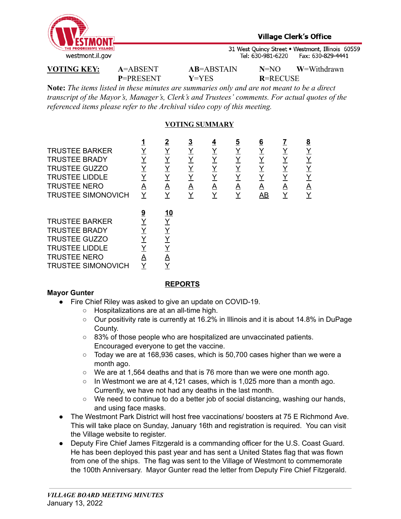

31 West Quincy Street . Westmont, Illinois 60559 Tel: 630-981-6220 Fax: 630-829-4441

**P**=PRESENT **Y**=YES **R**=RECUSE

**VOTING KEY: A**=ABSENT **AB**=ABSTAIN **N**=NO **W**=Withdrawn

**Note:** *The items listed in these minutes are summaries only and are not meant to be a direct transcript of the Mayor's, Manager's, Clerk's and Trustees' comments. For actual quotes of the referenced items please refer to the Archival video copy of this meeting.*

## **VOTING SUMMARY**

|                           |          | <u>2</u>        | $\overline{3}$ | $\overline{4}$ | <u>5</u> | <u>6</u> |          | $\underline{8}$         |
|---------------------------|----------|-----------------|----------------|----------------|----------|----------|----------|-------------------------|
| <b>TRUSTEE BARKER</b>     | Y        | <u>Y</u>        | Y              | <u>Y</u>       | <u>Y</u> | Y        | <u>Y</u> | <u>Y</u>                |
| <b>TRUSTEE BRADY</b>      | Y        | <u>Y</u>        | Y              | <u>Y</u>       | Y        | <u>Y</u> | <u>Y</u> | <u>Y</u>                |
| <b>TRUSTEE GUZZO</b>      | Y        | <u>Y</u>        | Y              | <u>Y</u>       | <u>Y</u> | Y        | Y        | <u>Y</u>                |
| <b>TRUSTEE LIDDLE</b>     |          | <u>Y</u>        |                | Y              | Y        | Y        |          | <u>Y</u>                |
| <b>TRUSTEE NERO</b>       | A        | $\Delta$        | <u>A</u>       | <u>A</u>       | <u>A</u> | Α        | <u>A</u> | $\overline{\mathsf{A}}$ |
| <b>TRUSTEE SIMONOVICH</b> | Y        | Y               |                | Υ              | <u>Y</u> | AB       | Υ        | Y                       |
|                           |          |                 |                |                |          |          |          |                         |
|                           |          |                 |                |                |          |          |          |                         |
|                           | <u>9</u> | <u>10</u>       |                |                |          |          |          |                         |
| <b>TRUSTEE BARKER</b>     |          | <u>Y</u>        |                |                |          |          |          |                         |
| <b>TRUSTEE BRADY</b>      |          | $\underline{Y}$ |                |                |          |          |          |                         |
| <b>TRUSTEE GUZZO</b>      |          | $\underline{Y}$ |                |                |          |          |          |                         |
| <b>TRUSTEE LIDDLE</b>     |          | <u>Y</u>        |                |                |          |          |          |                         |
| <b>TRUSTEE NERO</b>       | А        | <u>А</u>        |                |                |          |          |          |                         |

## **Mayor Gunter**

#### **REPORTS**

- Fire Chief Riley was asked to give an update on COVID-19.
	- Hospitalizations are at an all-time high.
	- Our positivity rate is currently at 16.2% in Illinois and it is about 14.8% in DuPage County.
	- 83% of those people who are hospitalized are unvaccinated patients. Encouraged everyone to get the vaccine.
	- $\circ$  Today we are at 168,936 cases, which is 50,700 cases higher than we were a month ago.
	- $\circ$  We are at 1,564 deaths and that is 76 more than we were one month ago.
	- $\circ$  In Westmont we are at 4,121 cases, which is 1,025 more than a month ago. Currently, we have not had any deaths in the last month.
	- We need to continue to do a better job of social distancing, washing our hands, and using face masks.
- The Westmont Park District will host free vaccinations/ boosters at 75 E Richmond Ave. This will take place on Sunday, January 16th and registration is required. You can visit the Village website to register.
- Deputy Fire Chief James Fitzgerald is a commanding officer for the U.S. Coast Guard. He has been deployed this past year and has sent a United States flag that was flown from one of the ships. The flag was sent to the Village of Westmont to commemorate the 100th Anniversary. Mayor Gunter read the letter from Deputy Fire Chief Fitzgerald.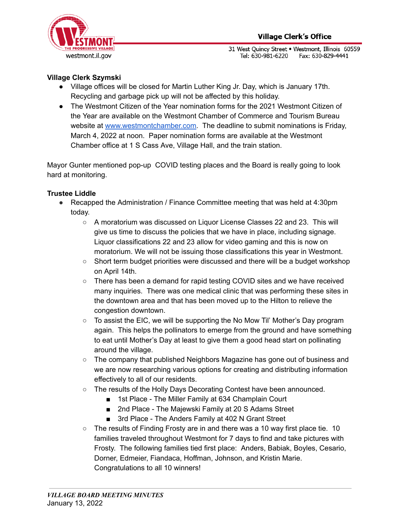

31 West Quincy Street . Westmont, Illinois 60559 Tel: 630-981-6220 Fax: 630-829-4441

## **Village Clerk Szymski**

- Village offices will be closed for Martin Luther King Jr. Day, which is January 17th. Recycling and garbage pick up will not be affected by this holiday.
- The Westmont Citizen of the Year nomination forms for the 2021 Westmont Citizen of the Year are available on the Westmont Chamber of Commerce and Tourism Bureau website at [www.westmontchamber.com.](http://www.westmontchamber.com/) The deadline to submit nominations is Friday, March 4, 2022 at noon. Paper nomination forms are available at the Westmont Chamber office at 1 S Cass Ave, Village Hall, and the train station.

Mayor Gunter mentioned pop-up COVID testing places and the Board is really going to look hard at monitoring.

## **Trustee Liddle**

- **●** Recapped the Administration / Finance Committee meeting that was held at 4:30pm today.
	- A moratorium was discussed on Liquor License Classes 22 and 23. This will give us time to discuss the policies that we have in place, including signage. Liquor classifications 22 and 23 allow for video gaming and this is now on moratorium. We will not be issuing those classifications this year in Westmont.
	- Short term budget priorities were discussed and there will be a budget workshop on April 14th.
	- There has been a demand for rapid testing COVID sites and we have received many inquiries. There was one medical clinic that was performing these sites in the downtown area and that has been moved up to the Hilton to relieve the congestion downtown.
	- $\circ$  To assist the EIC, we will be supporting the No Mow Til' Mother's Day program again. This helps the pollinators to emerge from the ground and have something to eat until Mother's Day at least to give them a good head start on pollinating around the village.
	- The company that published Neighbors Magazine has gone out of business and we are now researching various options for creating and distributing information effectively to all of our residents.
	- The results of the Holly Days Decorating Contest have been announced.
		- 1st Place The Miller Family at 634 Champlain Court
		- 2nd Place The Majewski Family at 20 S Adams Street
		- 3rd Place The Anders Family at 402 N Grant Street
	- $\circ$  The results of Finding Frosty are in and there was a 10 way first place tie. 10 families traveled throughout Westmont for 7 days to find and take pictures with Frosty. The following families tied first place: Anders, Babiak, Boyles, Cesario, Dorner, Edmeier, Fiandaca, Hoffman, Johnson, and Kristin Marie. Congratulations to all 10 winners!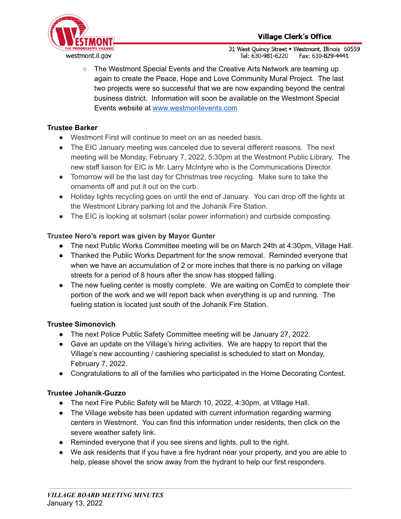

31 West Ouincy Street . Westmont, Illinois 60559 Tel: 630-981-6220 Fax: 630-829-4441

○ The Westmont Special Events and the Creative Arts Network are teaming up again to create the Peace, Hope and Love Community Mural Project. The last two projects were so successful that we are now expanding beyond the central business district. Information will soon be available on the Westmont Special Events website at [www.westmontevents.com](http://www.westmontevents.com/)

## **Trustee Barker**

- **●** Westmont First will continue to meet on an as needed basis.
- The EIC January meeting was canceled due to several different reasons. The next meeting will be Monday, February 7, 2022, 5:30pm at the Westmont Public Library. The new staff liaison for EIC is Mr. Larry McIntyre who is the Communications Director.
- Tomorrow will be the last day for Christmas tree recycling. Make sure to take the ornaments off and put it out on the curb.
- Holiday lights recycling goes on until the end of January. You can drop off the lights at the Westmont Library parking lot and the Johanik Fire Station.
- The EIC is looking at solsmart (solar power information) and curbside composting.

## **Trustee Nero's report was given by Mayor Gunter**

- **●** The next Public Works Committee meeting will be on March 24th at 4:30pm, Village Hall.
- **●** Thanked the Public Works Department for the snow removal. Reminded everyone that when we have an accumulation of 2 or more inches that there is no parking on village streets for a period of 8 hours after the snow has stopped falling.
- The new fueling center is mostly complete. We are waiting on ComEd to complete their portion of the work and we will report back when everything is up and running. The fueling station is located just south of the Johanik Fire Station.

## **Trustee Simonovich**

- The next Police Public Safety Committee meeting will be January 27, 2022.
- Gave an update on the Village's hiring activities. We are happy to report that the Village's new accounting / cashiering specialist is scheduled to start on Monday, February 7, 2022.
- Congratulations to all of the families who participated in the Home Decorating Contest.

## **Trustee Johanik-Guzzo**

- The next Fire Public Safety will be March 10, 2022, 4:30pm, at Village Hall.
- The Village website has been updated with current information regarding warming centers in Westmont. You can find this information under residents, then click on the severe weather safety link.
- Reminded everyone that if you see sirens and lights, pull to the right.
- We ask residents that if you have a fire hydrant near your property, and you are able to help, please shovel the snow away from the hydrant to help our first responders.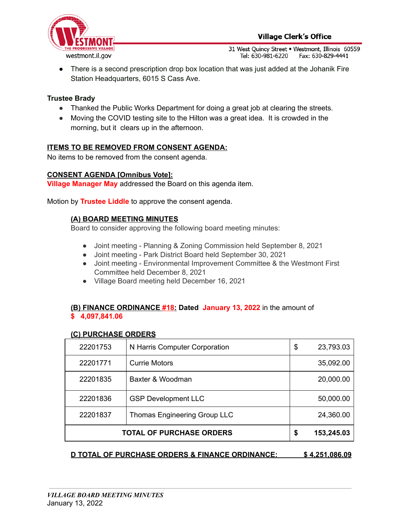

31 West Quincy Street . Westmont, Illinois 60559 Tel: 630-981-6220 Fax: 630-829-4441

● There is a second prescription drop box location that was just added at the Johanik Fire Station Headquarters, 6015 S Cass Ave.

## **Trustee Brady**

- **●** Thanked the Public Works Department for doing a great job at clearing the streets.
- **●** Moving the COVID testing site to the Hilton was a great idea. It is crowded in the morning, but it clears up in the afternoon.

## **ITEMS TO BE REMOVED FROM CONSENT AGENDA:**

No items to be removed from the consent agenda.

#### **CONSENT AGENDA [Omnibus Vote]:**

**Village Manager May** addressed the Board on this agenda item.

Motion by **Trustee Liddle** to approve the consent agenda.

## **(A) BOARD MEETING MINUTES**

Board to consider approving the following board meeting minutes:

- Joint meeting Planning & Zoning Commission held September 8, 2021
- Joint meeting Park District Board held September 30, 2021
- Joint meeting Environmental Improvement Committee & the Westmont First Committee held December 8, 2021
- Village Board meeting held December 16, 2021

## **(B) FINANCE ORDINANCE #18: Dated January 13, 2022** in the amount of **\$ 4,097,841.06**

#### **(C) PURCHASE ORDERS**

| 22201753                        | N Harris Computer Corporation | \$<br>23,793.03 |
|---------------------------------|-------------------------------|-----------------|
| 22201771                        | <b>Currie Motors</b>          | 35,092.00       |
| 22201835                        | Baxter & Woodman              | 20,000.00       |
| 22201836                        | <b>GSP Development LLC</b>    | 50,000.00       |
| 22201837                        | Thomas Engineering Group LLC  | 24,360.00       |
| <b>TOTAL OF PURCHASE ORDERS</b> | \$<br>153,245.03              |                 |

#### **D TOTAL OF PURCHASE ORDERS & FINANCE ORDINANCE: \$ 4,251,086.09**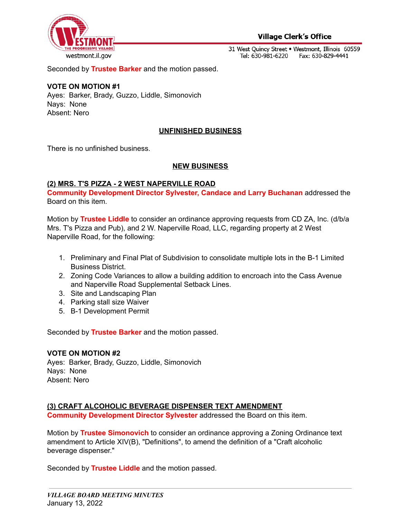

31 West Quincy Street . Westmont, Illinois 60559 Tel: 630-981-6220 Fax: 630-829-4441

Seconded by **Trustee Barker** and the motion passed.

#### **VOTE ON MOTION #1**

Ayes: Barker, Brady, Guzzo, Liddle, Simonovich Nays: None Absent: Nero

#### **UNFINISHED BUSINESS**

There is no unfinished business.

#### **NEW BUSINESS**

#### **(2) MRS. T'S PIZZA - 2 WEST NAPERVILLE ROAD**

**Community Development Director Sylvester, Candace and Larry Buchanan** addressed the Board on this item.

Motion by **Trustee Liddle** to consider an ordinance approving requests from CD ZA, Inc. (d/b/a Mrs. T's Pizza and Pub), and 2 W. Naperville Road, LLC, regarding property at 2 West Naperville Road, for the following:

- 1. Preliminary and Final Plat of Subdivision to consolidate multiple lots in the B-1 Limited Business District.
- 2. Zoning Code Variances to allow a building addition to encroach into the Cass Avenue and Naperville Road Supplemental Setback Lines.
- 3. Site and Landscaping Plan
- 4. Parking stall size Waiver
- 5. B-1 Development Permit

Seconded by **Trustee Barker** and the motion passed.

#### **VOTE ON MOTION #2**

Ayes: Barker, Brady, Guzzo, Liddle, Simonovich Nays: None Absent: Nero

### **(3) CRAFT ALCOHOLIC BEVERAGE DISPENSER TEXT AMENDMENT**

**Community Development Director Sylvester** addressed the Board on this item.

Motion by **Trustee Simonovich** to consider an ordinance approving a Zoning Ordinance text amendment to Article XIV(B), "Definitions", to amend the definition of a "Craft alcoholic beverage dispenser."

Seconded by **Trustee Liddle** and the motion passed.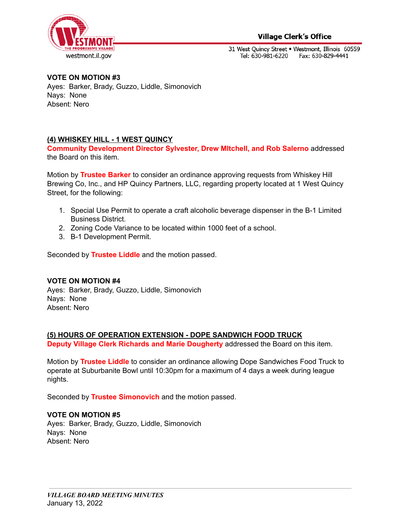

## **Village Clerk's Office**

31 West Quincy Street . Westmont, Illinois 60559 Tel: 630-981-6220 Fax: 630-829-4441

**VOTE ON MOTION #3** Ayes: Barker, Brady, Guzzo, Liddle, Simonovich Nays: None Absent: Nero

## **(4) WHISKEY HILL - 1 WEST QUINCY**

**Community Development Director Sylvester, Drew MItchell, and Rob Salerno** addressed the Board on this item.

Motion by **Trustee Barker** to consider an ordinance approving requests from Whiskey Hill Brewing Co, Inc., and HP Quincy Partners, LLC, regarding property located at 1 West Quincy Street, for the following:

- 1. Special Use Permit to operate a craft alcoholic beverage dispenser in the B-1 Limited Business District.
- 2. Zoning Code Variance to be located within 1000 feet of a school.
- 3. B-1 Development Permit.

Seconded by **Trustee Liddle** and the motion passed.

## **VOTE ON MOTION #4**

Ayes: Barker, Brady, Guzzo, Liddle, Simonovich Nays: None Absent: Nero

## **(5) HOURS OF OPERATION EXTENSION - DOPE SANDWICH FOOD TRUCK**

**Deputy Village Clerk Richards and Marie Dougherty** addressed the Board on this item.

Motion by **Trustee Liddle** to consider an ordinance allowing Dope Sandwiches Food Truck to operate at Suburbanite Bowl until 10:30pm for a maximum of 4 days a week during league nights.

Seconded by **Trustee Simonovich** and the motion passed.

## **VOTE ON MOTION #5**

Ayes: Barker, Brady, Guzzo, Liddle, Simonovich Nays: None Absent: Nero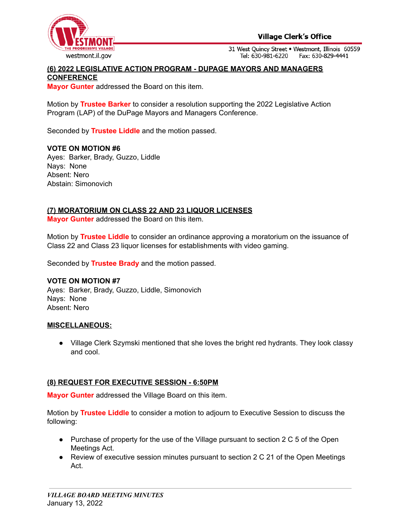

**Village Clerk's Office** 

31 West Ouincy Street . Westmont, Illinois 60559 Tel: 630-981-6220 Fax: 630-829-4441

### **(6) 2022 LEGISLATIVE ACTION PROGRAM - DUPAGE MAYORS AND MANAGERS CONFERENCE**

**Mayor Gunter** addressed the Board on this item.

Motion by **Trustee Barker** to consider a resolution supporting the 2022 Legislative Action Program (LAP) of the DuPage Mayors and Managers Conference.

Seconded by **Trustee Liddle** and the motion passed.

#### **VOTE ON MOTION #6**

Ayes: Barker, Brady, Guzzo, Liddle Nays: None Absent: Nero Abstain: Simonovich

#### **(7) MORATORIUM ON CLASS 22 AND 23 LIQUOR LICENSES**

**Mayor Gunter** addressed the Board on this item.

Motion by **Trustee Liddle** to consider an ordinance approving a moratorium on the issuance of Class 22 and Class 23 liquor licenses for establishments with video gaming.

Seconded by **Trustee Brady** and the motion passed.

#### **VOTE ON MOTION #7**

Ayes: Barker, Brady, Guzzo, Liddle, Simonovich Nays: None Absent: Nero

#### **MISCELLANEOUS:**

● Village Clerk Szymski mentioned that she loves the bright red hydrants. They look classy and cool.

#### **(8) REQUEST FOR EXECUTIVE SESSION - 6:50PM**

**Mayor Gunter** addressed the Village Board on this item.

Motion by **Trustee Liddle** to consider a motion to adjourn to Executive Session to discuss the following:

- Purchase of property for the use of the Village pursuant to section 2 C 5 of the Open Meetings Act.
- Review of executive session minutes pursuant to section 2 C 21 of the Open Meetings Act.